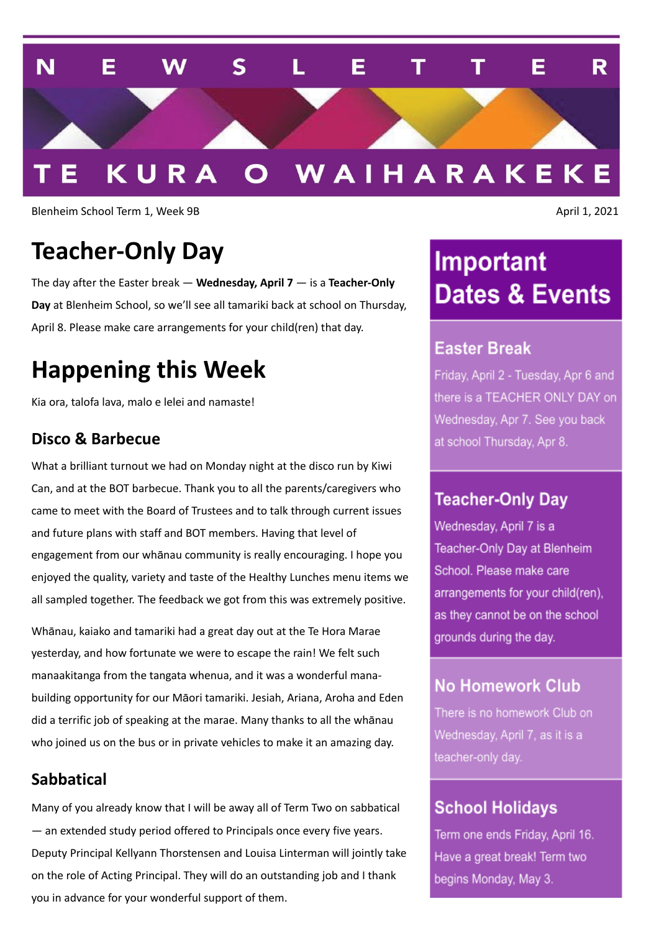

Blenheim School Term 1, Week 9B April 1, 2021

# **Teacher-Only Day**

The day after the Easter break — **Wednesday, April 7** — is a **Teacher-Only Day** at Blenheim School, so we'll see all tamariki back at school on Thursday, April 8. Please make care arrangements for your child(ren) that day.

# **Happening this Week**

Kia ora, talofa lava, malo e lelei and namaste!

#### **Disco & Barbecue**

What a brilliant turnout we had on Monday night at the disco run by Kiwi Can, and at the BOT barbecue. Thank you to all the parents/caregivers who came to meet with the Board of Trustees and to talk through current issues and future plans with staff and BOT members. Having that level of engagement from our whānau community is really encouraging. I hope you enjoyed the quality, variety and taste of the Healthy Lunches menu items we all sampled together. The feedback we got from this was extremely positive.

Whānau, kaiako and tamariki had a great day out at the Te Hora Marae yesterday, and how fortunate we were to escape the rain! We felt such manaakitanga from the tangata whenua, and it was a wonderful manabuilding opportunity for our Māori tamariki. Jesiah, Ariana, Aroha and Eden did a terrific job of speaking at the marae. Many thanks to all the whānau who joined us on the bus or in private vehicles to make it an amazing day.

### **Sabbatical**

Many of you already know that I will be away all of Term Two on sabbatical — an extended study period offered to Principals once every five years. Deputy Principal Kellyann Thorstensen and Louisa Linterman will jointly take on the role of Acting Principal. They will do an outstanding job and I thank you in advance for your wonderful support of them.

# **Important Dates & Events**

## **Easter Break**

Friday, April 2 - Tuesday, Apr 6 and there is a TEACHER ONLY DAY on Wednesday, Apr 7. See you back at school Thursday, Apr 8.

### **Teacher-Only Day**

Wednesday, April 7 is a Teacher-Only Day at Blenheim School. Please make care arrangements for your child(ren), as they cannot be on the school grounds during the day.

## **No Homework Club**

There is no homework Club on Wednesday, April 7, as it is a teacher-only day.

## **School Holidays**

Term one ends Friday, April 16. Have a great break! Term two begins Monday, May 3.